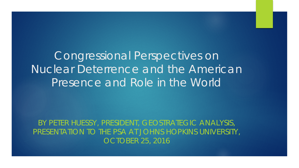Congressional Perspectives on Nuclear Deterrence and the American Presence and Role in the World

BY PETER HUESSY, PRESIDENT, GEOSTRATEGIC ANALYSIS, PRESENTATION TO THE PSA AT JOHNS HOPKINS UNIVERSITY, OCTOBER 25, 2016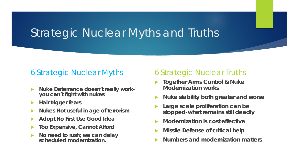### Strategic Nuclear Myths and Truths

### 6 Strategic Nuclear Myths

- **Nuke Deterrence doesn't really work- you can't fight with nukes**
- **Hair trigger fears**
- **Nukes Not useful in age of terrorism**
- **Adopt No First Use Good Idea**
- **Too Expensive, Cannot Afford**
- **No need to rush; we can delay scheduled modernization.**

### 6 Strategic Nuclear Truths

- **Together Arms Control & Nuke Modernization works**
- **Nuke stability both greater and worse**
- **Large scale proliferation can be stopped-what remains still deadly**
- **Modernization is cost effective**
- **Missile Defense of critical help**
- **Numbers and modernization matters**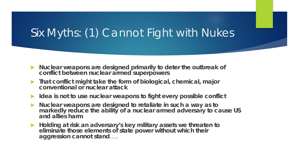# Six Myths: (1) Cannot Fight with Nukes

- **Nuclear weapons are designed primarily to deter the outbreak of conflict between nuclear armed superpowers**
- **That conflict might take the form of biological, chemical, major conventional or nuclear attack**
- ▶ Idea is not to use nuclear weapons to fight every possible conflict
- **Nuclear weapons are designed to retaliate in such a way as to markedly reduce the ability of a nuclear armed adversary to cause US and allies harm**
- **Holding at risk an adversary's key military assets we threaten to eliminate those elements of state power without which their aggression cannot stand**…..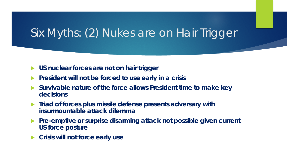# Six Myths: (2) Nukes are on Hair Trigger

- **US nuclear forces are not on hair trigger**
- **President will not be forced to use early in a crisis**
- **Survivable nature of the force allows President time to make key decisions**
- **Triad of forces plus missile defense presents adversary with insurmountable attack dilemma**
- **Pre-emptive or surprise disarming attack not possible given current US force posture**
- **Crisis will not force early use**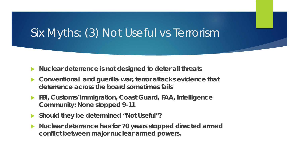# Six Myths: (3) Not Useful vs Terrorism

- **Nuclear deterrence is not designed to deter all threats**
- **Conventional and guerilla war, terror attacks evidence that deterrence across the board sometimes fails**
- **FBI, Customs/Immigration, Coast Guard, FAA, Intelligence Community: None stopped 9-11**
- **Should they be determined "Not Useful"?**
- **Nuclear deterrence has for 70 years stopped directed armed conflict between major nuclear armed powers.**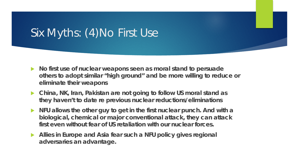# Six Myths: (4)No First Use

- **No first use of nuclear weapons seen as moral stand to persuade others to adopt similar "high ground" and be more willing to reduce or eliminate their weapons**
- ▶ China, NK, Iran, Pakistan are not going to follow US moral stand as **they haven't to date re previous nuclear reductions/eliminations**
- **NFU allows the other guy to get in the first nuclear punch. And with a biological, chemical or major conventional attack, they can attack first even without fear of US retaliation with our nuclear forces.**
- **Allies in Europe and Asia fear such a NFU policy gives regional adversaries an advantage.**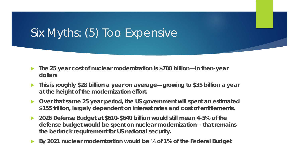# Six Myths: (5) Too Expensive

- **The 25 year cost of nuclear modernization is \$700 billion—in then-year dollars**
- **This is roughly \$28 billion a year on average—growing to \$35 billion a year at the height of the modernization effort.**
- **Over that same 25 year period, the US government will spent an estimated \$155 trillion, largely dependent on interest rates and cost of entitlements.**
- **2026 Defense Budget at \$610-\$640 billion would still mean 4-5% of the defense budget would be spent on nuclear modernization-- that remains the bedrock requirement for US national security.**
- **By 2021 nuclear modernization would be ½ of 1% of the Federal Budget**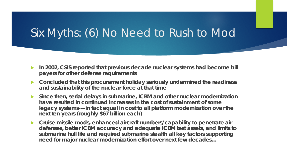# Six Myths: (6) No Need to Rush to Mod

- **In 2002, CSIS reported that previous decade nuclear systems had become bill payers for other defense requirements**
- **Concluded that this procurement holiday seriously undermined the readiness and sustainability of the nuclear force at that time**
- **Since then, serial delays in submarine, ICBM and other nuclear modernization have resulted in continued increases in the cost of sustainment of some legacy systems---in fact equal in cost to all platform modernization over the next ten years (roughly \$67 billion each)**
- **Cruise missile mods, enhanced aircraft numbers/capability to penetrate air defenses, better ICBM accuracy and adequate ICBM test assets, and limits to submarine hull life and required submarine stealth all key factors supporting need for major nuclear modernization effort over next few decades…**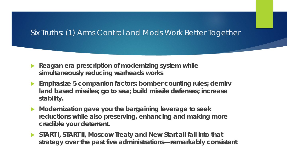### Six Truths: (1) Arms Control and Mods Work Better Together

- **Reagan era prescription of modernizing system while simultaneously reducing warheads works**
- **Emphasize 5 companion factors: bomber counting rules; demirv land based missiles; go to sea; build missile defenses; increase stability.**
- **Modernization gave you the bargaining leverage to seek reductions while also preserving, enhancing and making more credible your deterrent.**
- **START I, START II, Moscow Treaty and New Start all fall into that strategy over the past five administrations—remarkably consistent**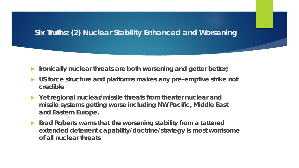### **Six Truths: (2) Nuclear Stability Enhanced and Worsening**

- **IF Ironically nuclear threats are both worsening and getter better;**
- **US force structure and platforms makes any pre-emptive strike not credible**
- **Yet regional nuclear/missile threats from theater nuclear and missile systems getting worse including NW Pacific, Middle East and Eastern Europe.**
- **Brad Roberts warns that the worsening stability from a tattered extended deterrent capability/doctrine/strategy is most worrisome of all nuclear threats**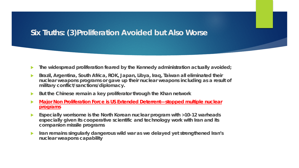### **Six Truths: (3)Proliferation Avoided but Also Worse**

- **The widespread proliferation feared by the Kennedy administration actually avoided;**
- **Brazil, Argentina, South Africa, ROK, Japan, Libya, Iraq, Taiwan all eliminated their nuclear weapons programs or gave up their nuclear weapons including as a result of military conflict/sanctions/diplomacy.**
- **But the Chinese remain a key proliferator through the Khan network**
- *Major Non Proliferation Force is US Extended Deterrent—stopped multiple nuclear programs*
- **Especially worrisome is the North Korean nuclear program with >10-12 warheads especially given its cooperative scientific and technology work with Iran and its companion missile programs**
- **IFALL** Strangending singularly dangerous wild war as we delayed yet strengthened Iran's **nuclear weapons capability**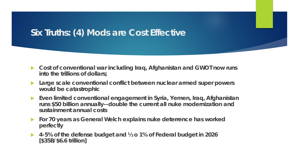### **Six Truths: (4) Mods are Cost Effective**

- **Cost of conventional war including Iraq, Afghanistan and GWOT now runs into the trillions of dollars;**
- **Large scale conventional conflict between nuclear armed super powers would be catastrophic**
- **Even limited conventional engagement in Syria, Yemen, Iraq, Afghanistan runs \$50 billion annually--double the current all nuke modernization and sustainment annual costs**
- **For 70 years as General Welch explains nuke deterrence has worked perfectly**
- **4-5% of the defense budget and ½ o 1% of Federal budget in 2026 [\$35B/\$6.6 trillion]**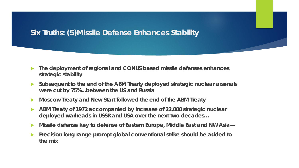### **Six Truths: (5)Missile Defense Enhances Stability**

- **The deployment of regional and CONUS based missile defenses enhances strategic stability**
- **Subsequent to the end of the ABM Treaty deployed strategic nuclear arsenals were cut by 75%...between the US and Russia**
- **Moscow Treaty and New Start followed the end of the ABM Treaty**
- **ABM Treaty of 1972 accompanied by increase of 22,000 strategic nuclear deployed warheads in USSR and USA over the next two decades…**
- **Missile defense key to defense of Eastern Europe, Middle East and NW Asia—**
- **Precision long range prompt global conventional strike should be added to the mix**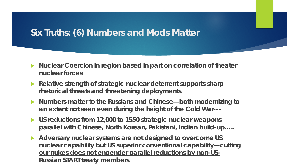### **Six Truths: (6) Numbers and Mods Matter**

- ▶ Nuclear Coercion in region based in part on correlation of theater **nuclear forces**
- **Relative strength of strategic nuclear deterrent supports sharp rhetorical threats and threatening deployments**
- **Numbers matter to the Russians and Chinese—both modernizing to an extent not seen even during the height of the Cold War---**
- **US reductions from 12,000 to 1550 strategic nuclear weapons parallel with Chinese, North Korean, Pakistani, Indian build-up…..**
- *Adversary nuclear systems are not designed to overcome US nuclear capability but US superior conventional capability—cutting our nukes does not engender parallel reductions by non-US-Russian START treaty members*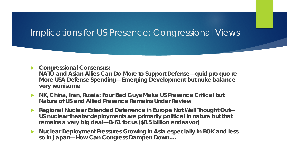### Implications for US Presence: Congressional Views

- **Congressional Consensus: NATO and Asian Allies Can Do More to Support Defense—quid pro quo re More USA Defense Spending—Emerging Development but nuke balance very worrisome**
- **NK, China, Iran, Russia: Four Bad Guys Make US Presence Critical but Nature of US and Allied Presence Remains Under Review**
- **Regional Nuclear Extended Deterrence in Europe Not Well Thought Out— US nuclear theater deployments are primarily political in nature but that remains a very big deal—B-61 focus (\$8.5 billion endeavor)**
- **Nuclear Deployment Pressures Growing in Asia especially in ROK and less so in Japan—How Can Congress Dampen Down….**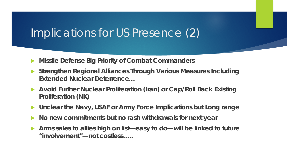## Implications for US Presence (2)

- **Missile Defense Big Priority of Combat Commanders**
- **Strengthen Regional Alliances Through Various Measures Including Extended Nuclear Deterrence…**
- **Avoid Further Nuclear Proliferation (Iran) or Cap/Roll Back Existing Proliferation (NK)**
- **Unclear the Navy, USAF or Army Force Implications but Long range**
- **No new commitments but no rash withdrawals for next year**
- **Arms sales to allies high on list—easy to do—will be linked to future "involvement"—not costless…..**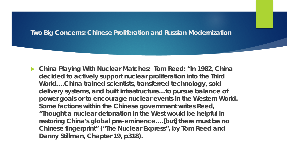#### **Two Big Concerns: Chinese Proliferation and Russian Modernization**

 **China Playing With Nuclear Matches: Tom Reed: "In 1982, China decided to actively support nuclear proliferation into the Third World….China trained scientists, transferred technology, sold delivery systems, and built infrastructure…to pursue balance of power goals or to encourage nuclear events in the Western World. Some factions within the Chinese government writes Reed, "Thought a nuclear detonation in the West would be helpful in restoring China's global pre-eminence….[but] there must be no Chinese fingerprint" ("The Nuclear Express", by Tom Reed and Danny Stillman, Chapter 19, p318).**